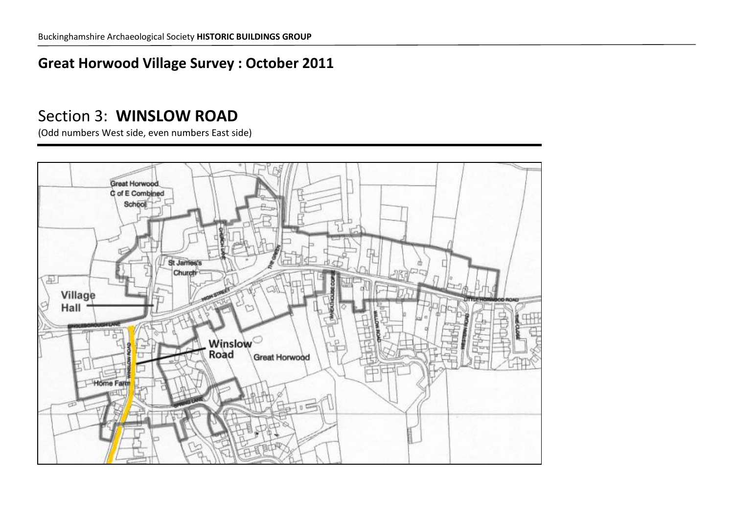### **Great Horwood Village Survey : October 2011**

### Section 3: **WINSLOW ROAD**

(Odd numbers West side, even numbers East side)

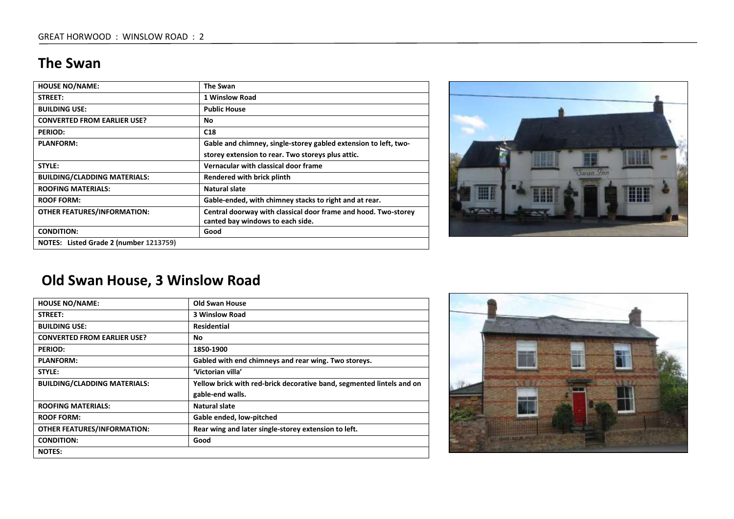#### **The Swan**

| <b>HOUSE NO/NAME:</b>                  | The Swan                                                                                           |
|----------------------------------------|----------------------------------------------------------------------------------------------------|
| STREET:                                | 1 Winslow Road                                                                                     |
| <b>BUILDING USE:</b>                   | <b>Public House</b>                                                                                |
| <b>CONVERTED FROM EARLIER USE?</b>     | No                                                                                                 |
| <b>PERIOD:</b>                         | C18                                                                                                |
| <b>PLANFORM:</b>                       | Gable and chimney, single-storey gabled extension to left, two-                                    |
|                                        | storey extension to rear. Two storeys plus attic.                                                  |
| STYLE:                                 | Vernacular with classical door frame                                                               |
| <b>BUILDING/CLADDING MATERIALS:</b>    | Rendered with brick plinth                                                                         |
| <b>ROOFING MATERIALS:</b>              | Natural slate                                                                                      |
| <b>ROOF FORM:</b>                      | Gable-ended, with chimney stacks to right and at rear.                                             |
| <b>OTHER FEATURES/INFORMATION:</b>     | Central doorway with classical door frame and hood. Two-storey<br>canted bay windows to each side. |
| <b>CONDITION:</b>                      | Good                                                                                               |
| NOTES: Listed Grade 2 (number 1213759) |                                                                                                    |



### **Old Swan House, 3 Winslow Road**

| <b>HOUSE NO/NAME:</b>               | Old Swan House                                                        |
|-------------------------------------|-----------------------------------------------------------------------|
| STREET:                             | <b>3 Winslow Road</b>                                                 |
| <b>BUILDING USE:</b>                | <b>Residential</b>                                                    |
| <b>CONVERTED FROM EARLIER USE?</b>  | No.                                                                   |
| <b>PERIOD:</b>                      | 1850-1900                                                             |
| <b>PLANFORM:</b>                    | Gabled with end chimneys and rear wing. Two storeys.                  |
| STYLE:                              | 'Victorian villa'                                                     |
| <b>BUILDING/CLADDING MATERIALS:</b> | Yellow brick with red-brick decorative band, segmented lintels and on |
|                                     | gable-end walls.                                                      |
| <b>ROOFING MATERIALS:</b>           | Natural slate                                                         |
| <b>ROOF FORM:</b>                   | Gable ended, low-pitched                                              |
| <b>OTHER FEATURES/INFORMATION:</b>  | Rear wing and later single-storey extension to left.                  |
| <b>CONDITION:</b>                   | Good                                                                  |
| <b>NOTES:</b>                       |                                                                       |

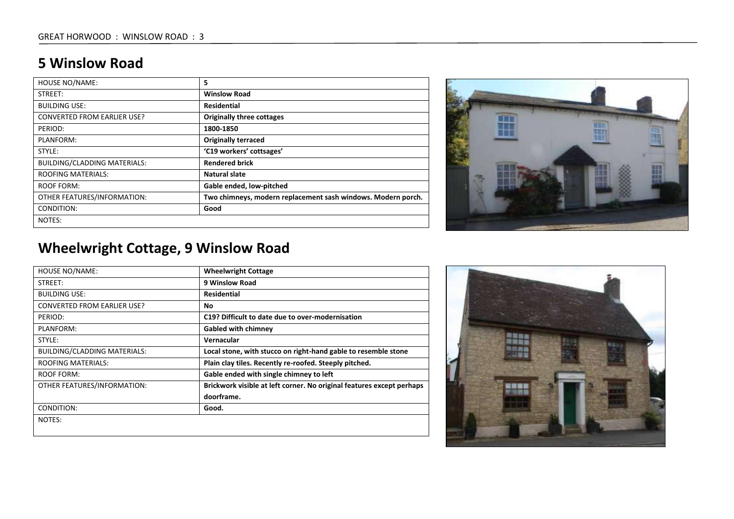#### **5 Winslow Road**

| <b>HOUSE NO/NAME:</b>               | 5                                                            |
|-------------------------------------|--------------------------------------------------------------|
| STREET:                             | <b>Winslow Road</b>                                          |
| <b>BUILDING USE:</b>                | <b>Residential</b>                                           |
| <b>CONVERTED FROM EARLIER USE?</b>  | <b>Originally three cottages</b>                             |
| PERIOD:                             | 1800-1850                                                    |
| PLANFORM:                           | <b>Originally terraced</b>                                   |
| STYLE:                              | 'C19 workers' cottsages'                                     |
| <b>BUILDING/CLADDING MATERIALS:</b> | <b>Rendered brick</b>                                        |
| <b>ROOFING MATERIALS:</b>           | Natural slate                                                |
| <b>ROOF FORM:</b>                   | Gable ended, low-pitched                                     |
| OTHER FEATURES/INFORMATION:         | Two chimneys, modern replacement sash windows. Modern porch. |
| CONDITION:                          | Good                                                         |
| NOTES:                              |                                                              |



# **Wheelwright Cottage, 9 Winslow Road**

| <b>HOUSE NO/NAME:</b>              | <b>Wheelwright Cottage</b>                                            |
|------------------------------------|-----------------------------------------------------------------------|
| STREET:                            | 9 Winslow Road                                                        |
| <b>BUILDING USE:</b>               | Residential                                                           |
| <b>CONVERTED FROM EARLIER USE?</b> | No                                                                    |
| PERIOD:                            | C19? Difficult to date due to over-modernisation                      |
| PLANFORM:                          | <b>Gabled with chimney</b>                                            |
| STYLE:                             | Vernacular                                                            |
| BUILDING/CLADDING MATERIALS:       | Local stone, with stucco on right-hand gable to resemble stone        |
| <b>ROOFING MATERIALS:</b>          | Plain clay tiles. Recently re-roofed. Steeply pitched.                |
| ROOF FORM:                         | Gable ended with single chimney to left                               |
| OTHER FEATURES/INFORMATION:        | Brickwork visible at left corner. No original features except perhaps |
|                                    | doorframe.                                                            |
| CONDITION:                         | Good.                                                                 |
| NOTES:                             |                                                                       |
|                                    |                                                                       |

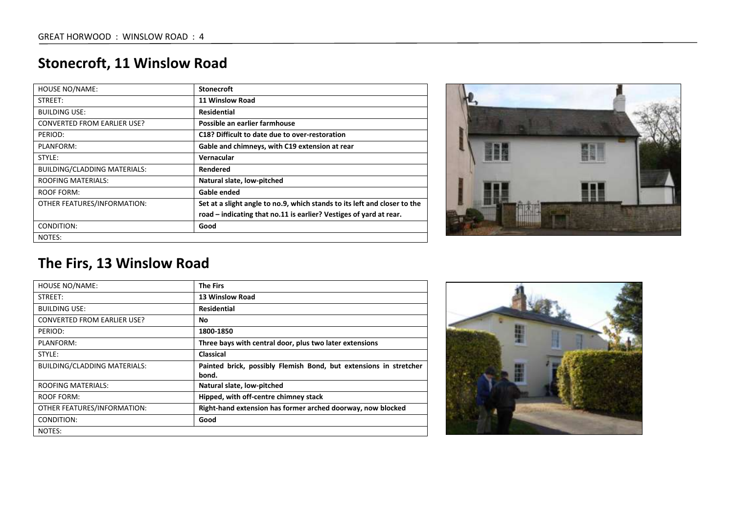## **Stonecroft, 11 Winslow Road**

| <b>HOUSE NO/NAME:</b>               | <b>Stonecroft</b>                                                         |
|-------------------------------------|---------------------------------------------------------------------------|
| STREET:                             | 11 Winslow Road                                                           |
| <b>BUILDING USE:</b>                | <b>Residential</b>                                                        |
| <b>CONVERTED FROM EARLIER USE?</b>  | Possible an earlier farmhouse                                             |
| PERIOD:                             | C18? Difficult to date due to over-restoration                            |
| PLANFORM:                           | Gable and chimneys, with C19 extension at rear                            |
| STYLE:                              | Vernacular                                                                |
| <b>BUILDING/CLADDING MATERIALS:</b> | Rendered                                                                  |
| <b>ROOFING MATERIALS:</b>           | Natural slate, low-pitched                                                |
| ROOF FORM:                          | Gable ended                                                               |
| OTHER FEATURES/INFORMATION:         | Set at a slight angle to no.9, which stands to its left and closer to the |
|                                     | road – indicating that no.11 is earlier? Vestiges of yard at rear.        |
| CONDITION:                          | Good                                                                      |
| NOTES:                              |                                                                           |



#### **The Firs, 13 Winslow Road**

| HOUSE NO/NAME:                     | <b>The Firs</b>                                                            |
|------------------------------------|----------------------------------------------------------------------------|
| STREET:                            | <b>13 Winslow Road</b>                                                     |
| <b>BUILDING USE:</b>               | Residential                                                                |
| <b>CONVERTED FROM EARLIER USE?</b> | No                                                                         |
| PERIOD:                            | 1800-1850                                                                  |
| PLANFORM:                          | Three bays with central door, plus two later extensions                    |
| STYLE:                             | <b>Classical</b>                                                           |
| BUILDING/CLADDING MATERIALS:       | Painted brick, possibly Flemish Bond, but extensions in stretcher<br>bond. |
| <b>ROOFING MATERIALS:</b>          | Natural slate, low-pitched                                                 |
| ROOF FORM:                         | Hipped, with off-centre chimney stack                                      |
| OTHER FEATURES/INFORMATION:        | Right-hand extension has former arched doorway, now blocked                |
| CONDITION:                         | Good                                                                       |
| NOTES:                             |                                                                            |

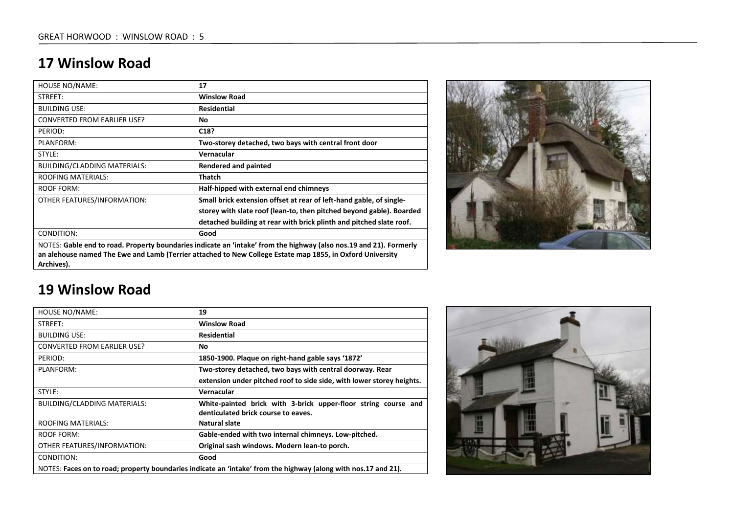#### **17 Winslow Road**

| <b>HOUSE NO/NAME:</b>                                                                                              | 17                                                                                                        |
|--------------------------------------------------------------------------------------------------------------------|-----------------------------------------------------------------------------------------------------------|
| STREET:                                                                                                            | <b>Winslow Road</b>                                                                                       |
| <b>BUILDING USE:</b>                                                                                               | Residential                                                                                               |
| <b>CONVERTED FROM EARLIER USE?</b>                                                                                 | No.                                                                                                       |
| PERIOD:                                                                                                            | C <sub>18</sub> ?                                                                                         |
| PLANFORM:                                                                                                          | Two-storey detached, two bays with central front door                                                     |
| STYLE:                                                                                                             | Vernacular                                                                                                |
| BUILDING/CLADDING MATERIALS:                                                                                       | <b>Rendered and painted</b>                                                                               |
| <b>ROOFING MATERIALS:</b>                                                                                          | <b>Thatch</b>                                                                                             |
| ROOF FORM:                                                                                                         | Half-hipped with external end chimneys                                                                    |
| OTHER FEATURES/INFORMATION:                                                                                        | Small brick extension offset at rear of left-hand gable, of single-                                       |
|                                                                                                                    | storey with slate roof (lean-to, then pitched beyond gable). Boarded                                      |
|                                                                                                                    | detached building at rear with brick plinth and pitched slate roof.                                       |
| CONDITION:                                                                                                         | Good                                                                                                      |
| NOTES: Gable end to road. Property boundaries indicate an 'intake' from the highway (also nos.19 and 21). Formerly |                                                                                                           |
|                                                                                                                    | an alehouse named The Ewe and Lamb (Terrier attached to New College Estate map 1855, in Oxford University |
| Archives).                                                                                                         |                                                                                                           |



#### **19 Winslow Road**

| <b>HOUSE NO/NAME:</b>                                                                                          | 19                                                                    |
|----------------------------------------------------------------------------------------------------------------|-----------------------------------------------------------------------|
| STREET:                                                                                                        | <b>Winslow Road</b>                                                   |
| <b>BUILDING USE:</b>                                                                                           | Residential                                                           |
| <b>CONVERTED FROM EARLIER USE?</b>                                                                             | No                                                                    |
| PERIOD:                                                                                                        | 1850-1900. Plaque on right-hand gable says '1872'                     |
| PLANFORM:                                                                                                      | Two-storey detached, two bays with central doorway. Rear              |
|                                                                                                                | extension under pitched roof to side side, with lower storey heights. |
| STYLE:                                                                                                         | Vernacular                                                            |
| <b>BUILDING/CLADDING MATERIALS:</b>                                                                            | White-painted brick with 3-brick upper-floor string course and        |
|                                                                                                                | denticulated brick course to eaves.                                   |
| <b>ROOFING MATERIALS:</b>                                                                                      | Natural slate                                                         |
| ROOF FORM:                                                                                                     | Gable-ended with two internal chimneys. Low-pitched.                  |
| OTHER FEATURES/INFORMATION:                                                                                    | Original sash windows. Modern lean-to porch.                          |
| CONDITION:                                                                                                     | Good                                                                  |
| NOTES: Faces on to road; property boundaries indicate an 'intake' from the highway (along with nos.17 and 21). |                                                                       |

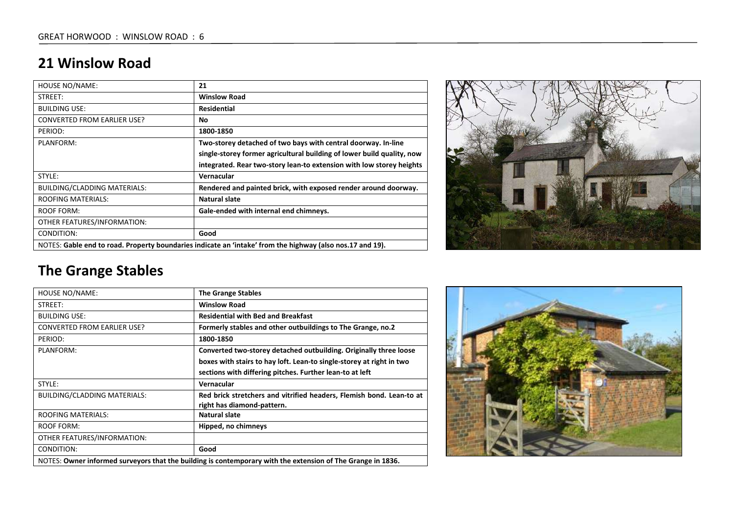#### **21 Winslow Road**

| <b>HOUSE NO/NAME:</b>                                                                                     | 21                                                                     |
|-----------------------------------------------------------------------------------------------------------|------------------------------------------------------------------------|
| STREET:                                                                                                   | <b>Winslow Road</b>                                                    |
| <b>BUILDING USE:</b>                                                                                      | Residential                                                            |
| <b>CONVERTED FROM EARLIER USE?</b>                                                                        | No.                                                                    |
| PERIOD:                                                                                                   | 1800-1850                                                              |
| PLANFORM:                                                                                                 | Two-storey detached of two bays with central doorway. In-line          |
|                                                                                                           | single-storey former agricultural building of lower build quality, now |
|                                                                                                           | integrated. Rear two-story lean-to extension with low storey heights   |
| STYLE:                                                                                                    | Vernacular                                                             |
| BUILDING/CLADDING MATERIALS:                                                                              | Rendered and painted brick, with exposed render around doorway.        |
| <b>ROOFING MATERIALS:</b>                                                                                 | Natural slate                                                          |
| <b>ROOF FORM:</b>                                                                                         | Gale-ended with internal end chimneys.                                 |
| OTHER FEATURES/INFORMATION:                                                                               |                                                                        |
| CONDITION:                                                                                                | Good                                                                   |
| NOTES: Gable end to road. Property boundaries indicate an 'intake' from the highway (also nos.17 and 19). |                                                                        |



# **The Grange Stables**

| HOUSE NO/NAME:                                                                                              | <b>The Grange Stables</b>                                                                          |
|-------------------------------------------------------------------------------------------------------------|----------------------------------------------------------------------------------------------------|
| STREET:                                                                                                     | <b>Winslow Road</b>                                                                                |
| <b>BUILDING USE:</b>                                                                                        | <b>Residential with Bed and Breakfast</b>                                                          |
| <b>CONVERTED FROM EARLIER USE?</b>                                                                          | Formerly stables and other outbuildings to The Grange, no.2                                        |
| PERIOD:                                                                                                     | 1800-1850                                                                                          |
| PLANFORM:                                                                                                   | Converted two-storey detached outbuilding. Originally three loose                                  |
|                                                                                                             | boxes with stairs to hay loft. Lean-to single-storey at right in two                               |
|                                                                                                             | sections with differing pitches. Further lean-to at left                                           |
| STYLE:                                                                                                      | Vernacular                                                                                         |
| BUILDING/CLADDING MATERIALS:                                                                                | Red brick stretchers and vitrified headers, Flemish bond. Lean-to at<br>right has diamond-pattern. |
| <b>ROOFING MATERIALS:</b>                                                                                   | Natural slate                                                                                      |
| ROOF FORM:                                                                                                  | Hipped, no chimneys                                                                                |
| OTHER FEATURES/INFORMATION:                                                                                 |                                                                                                    |
| CONDITION:                                                                                                  | Good                                                                                               |
| NOTES: Owner informed surveyors that the building is contemporary with the extension of The Grange in 1836. |                                                                                                    |

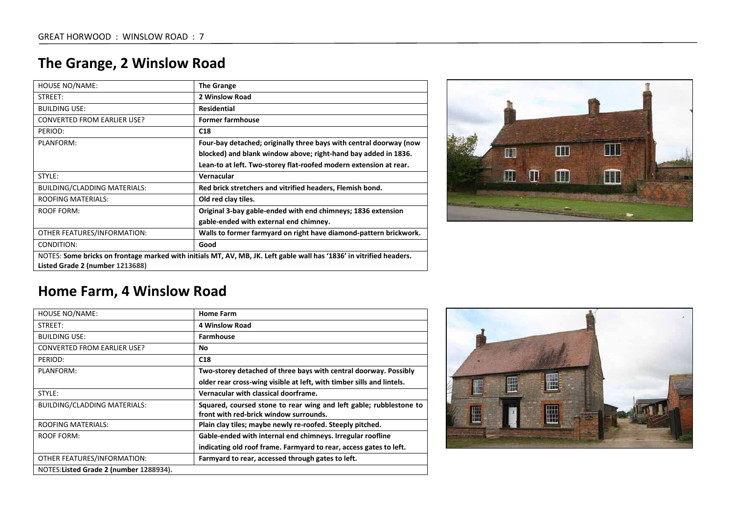## **The Grange, 2 Winslow Road**

| <b>HOUSE NO/NAME:</b>              | <b>The Grange</b>                                                                                                    |
|------------------------------------|----------------------------------------------------------------------------------------------------------------------|
| STREET:                            | 2 Winslow Road                                                                                                       |
| <b>BUILDING USE:</b>               | <b>Residential</b>                                                                                                   |
| <b>CONVERTED FROM EARLIER USE?</b> | <b>Former farmhouse</b>                                                                                              |
| PERIOD:                            | C <sub>18</sub>                                                                                                      |
| PLANFORM:                          | Four-bay detached; originally three bays with central doorway (now                                                   |
|                                    | blocked) and blank window above; right-hand bay added in 1836.                                                       |
|                                    | Lean-to at left. Two-storey flat-roofed modern extension at rear.                                                    |
| STYLE:                             | Vernacular                                                                                                           |
| BUILDING/CLADDING MATERIALS:       | Red brick stretchers and vitrified headers, Flemish bond.                                                            |
| <b>ROOFING MATERIALS:</b>          | Old red clay tiles.                                                                                                  |
| <b>ROOF FORM:</b>                  | Original 3-bay gable-ended with end chimneys; 1836 extension                                                         |
|                                    | gable-ended with external end chimney.                                                                               |
| OTHER FEATURES/INFORMATION:        | Walls to former farmyard on right have diamond-pattern brickwork.                                                    |
| CONDITION:                         | Good                                                                                                                 |
|                                    | NOTES: Some bricks on frontage marked with initials MT, AV, MB, JK. Left gable wall has '1836' in vitrified headers. |
| Listed Grade 2 (number 1213688)    |                                                                                                                      |



#### **Home Farm, 4 Winslow Road**

| HOUSE NO/NAME:                          | <b>Home Farm</b>                                                      |
|-----------------------------------------|-----------------------------------------------------------------------|
| STREET:                                 | <b>4 Winslow Road</b>                                                 |
| <b>BUILDING USE:</b>                    | <b>Farmhouse</b>                                                      |
| <b>CONVERTED FROM EARLIER USE?</b>      | No.                                                                   |
| PERIOD:                                 | C <sub>18</sub>                                                       |
| PLANFORM:                               | Two-storey detached of three bays with central doorway. Possibly      |
|                                         | older rear cross-wing visible at left, with timber sills and lintels. |
| STYLE:                                  | Vernacular with classical doorframe.                                  |
| <b>BUILDING/CLADDING MATERIALS:</b>     | Squared, coursed stone to rear wing and left gable; rubblestone to    |
|                                         | front with red-brick window surrounds.                                |
| <b>ROOFING MATERIALS:</b>               | Plain clay tiles; maybe newly re-roofed. Steeply pitched.             |
| ROOF FORM:                              | Gable-ended with internal end chimneys. Irregular roofline            |
|                                         | indicating old roof frame. Farmyard to rear, access gates to left.    |
| OTHER FEATURES/INFORMATION:             | Farmyard to rear, accessed through gates to left.                     |
| NOTES: Listed Grade 2 (number 1288934). |                                                                       |

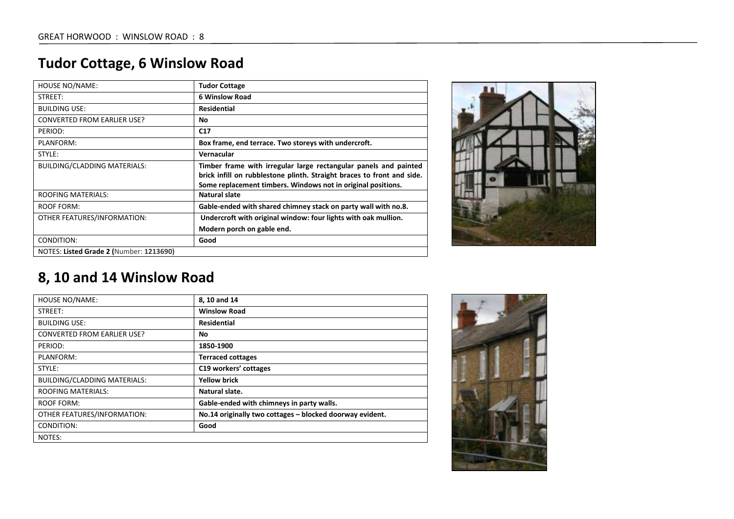## **Tudor Cottage, 6 Winslow Road**

| <b>HOUSE NO/NAME:</b>                   | <b>Tudor Cottage</b>                                                                                                                                                                                       |
|-----------------------------------------|------------------------------------------------------------------------------------------------------------------------------------------------------------------------------------------------------------|
| STREET:                                 | <b>6 Winslow Road</b>                                                                                                                                                                                      |
| <b>BUILDING USE:</b>                    | <b>Residential</b>                                                                                                                                                                                         |
| <b>CONVERTED FROM EARLIER USE?</b>      | No.                                                                                                                                                                                                        |
| PERIOD:                                 | C17                                                                                                                                                                                                        |
| PLANFORM:                               | Box frame, end terrace. Two storeys with undercroft.                                                                                                                                                       |
| STYLE:                                  | Vernacular                                                                                                                                                                                                 |
| BUILDING/CLADDING MATERIALS:            | Timber frame with irregular large rectangular panels and painted<br>brick infill on rubblestone plinth. Straight braces to front and side.<br>Some replacement timbers. Windows not in original positions. |
| <b>ROOFING MATERIALS:</b>               | Natural slate                                                                                                                                                                                              |
| ROOF FORM:                              | Gable-ended with shared chimney stack on party wall with no.8.                                                                                                                                             |
| OTHER FEATURES/INFORMATION:             | Undercroft with original window: four lights with oak mullion.                                                                                                                                             |
|                                         | Modern porch on gable end.                                                                                                                                                                                 |
| CONDITION:                              | Good                                                                                                                                                                                                       |
| NOTES: Listed Grade 2 (Number: 1213690) |                                                                                                                                                                                                            |



### **8, 10 and 14 Winslow Road**

| <b>HOUSE NO/NAME:</b>               | 8, 10 and 14                                             |
|-------------------------------------|----------------------------------------------------------|
| STREET:                             | <b>Winslow Road</b>                                      |
| <b>BUILDING USE:</b>                | <b>Residential</b>                                       |
| <b>CONVERTED FROM EARLIER USE?</b>  | <b>No</b>                                                |
| PERIOD:                             | 1850-1900                                                |
| PLANFORM:                           | <b>Terraced cottages</b>                                 |
| STYLE:                              | C19 workers' cottages                                    |
| <b>BUILDING/CLADDING MATERIALS:</b> | <b>Yellow brick</b>                                      |
| <b>ROOFING MATERIALS:</b>           | Natural slate.                                           |
| <b>ROOF FORM:</b>                   | Gable-ended with chimneys in party walls.                |
| OTHER FEATURES/INFORMATION:         | No.14 originally two cottages - blocked doorway evident. |
| CONDITION:                          | Good                                                     |
| NOTES:                              |                                                          |